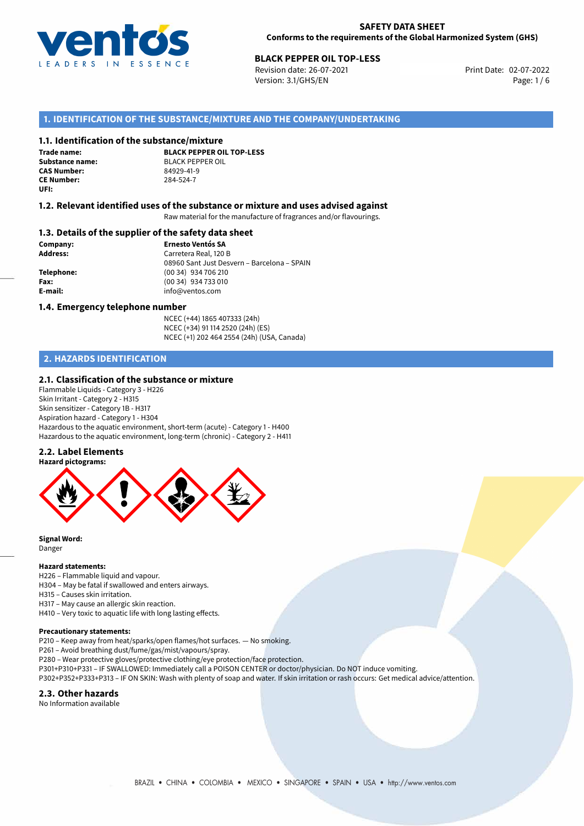

Revision date: 26-07-2021 Version: 3.1/GHS/EN Page: 1 / 6

### **1. IDENTIFICATION OF THE SUBSTANCE/MIXTURE AND THE COMPANY/UNDERTAKING**

#### **1.1. Identification of the substance/mixture**

**Trade name: CAS Number: CE Number:** 284-524-7 **UFI:**

**BLACK PEPPER OIL TOP-LESS Substance name:** BLACK PEPPER OIL<br> **CAS Number:** 84979-41-9

#### **1.2. Relevant identified uses of the substance or mixture and uses advised against**

Raw material for the manufacture of fragrances and/or flavourings.

#### **1.3. Details of the supplier of the safety data sheet**

**Company: Ernesto Ventós SA Address:** Carretera Real, 120 B 08960 Sant Just Desvern – Barcelona – SPAIN **Telephone:** (00 34) 934 706 210 **Fax:** (00 34) 934 733 010 **E-mail:** info@ventos.com

#### **1.4. Emergency telephone number**

NCEC (+44) 1865 407333 (24h) NCEC (+34) 91 114 2520 (24h) (ES) NCEC (+1) 202 464 2554 (24h) (USA, Canada)

## **2. HAZARDS IDENTIFICATION**

#### **2.1. Classification of the substance or mixture**

Flammable Liquids - Category 3 - H226 Skin Irritant - Category 2 - H315 Skin sensitizer - Category 1B - H317 Aspiration hazard - Category 1 - H304 Hazardous to the aquatic environment, short-term (acute) - Category 1 - H400 Hazardous to the aquatic environment, long-term (chronic) - Category 2 - H411

#### **2.2. Label Elements**



**Signal Word:** Danger

#### **Hazard statements:**

H226 – Flammable liquid and vapour.

H304 – May be fatal if swallowed and enters airways.

H315 – Causes skin irritation. H317 – May cause an allergic skin reaction.

H410 – Very toxic to aquatic life with long lasting effects.

#### **Precautionary statements:**

P210 – Keep away from heat/sparks/open flames/hot surfaces. — No smoking.

P261 – Avoid breathing dust/fume/gas/mist/vapours/spray.

P280 – Wear protective gloves/protective clothing/eye protection/face protection.

P301+P310+P331 – IF SWALLOWED: Immediately call a POISON CENTER or doctor/physician. Do NOT induce vomiting.

P302+P352+P333+P313 – IF ON SKIN: Wash with plenty of soap and water. If skin irritation or rash occurs: Get medical advice/attention.

#### **2.3. Other hazards**

No Information available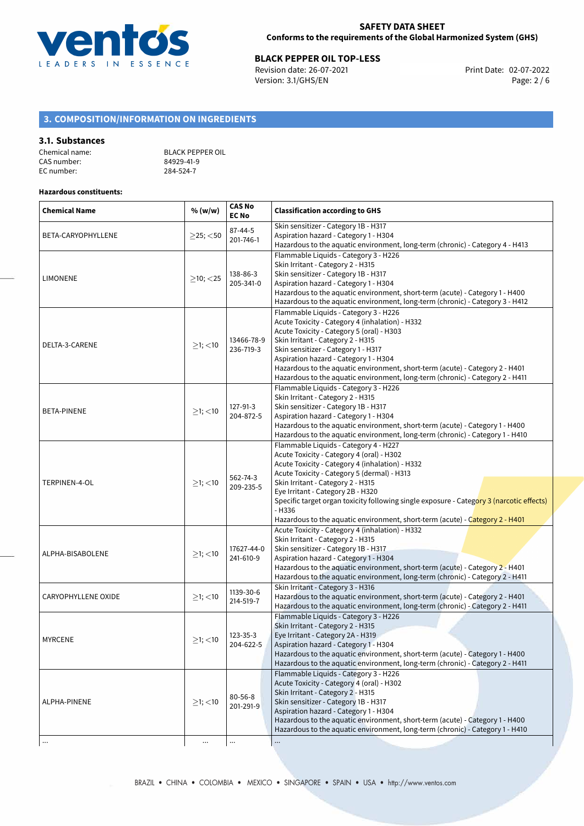

# **BLACK PEPPER OIL TOP-LESS**<br>Revision date: 26-07-2021 **Burger Server Server Print Date: 02-07-2022**

Revision date: 26-07-2021 Version: 3.1/GHS/EN Page: 2 / 6

## **3. COMPOSITION/INFORMATION ON INGREDIENTS**

#### **3.1. Substances**

| Chemical name: | <b>BLACK PEPPER OIL</b> |
|----------------|-------------------------|
| CAS number:    | 84929-41-9              |
| EC number:     | 284-524-7               |

#### **Hazardous constituents:**

| <b>Chemical Name</b> | % (w/w)          | <b>CAS No</b><br><b>EC No</b> | <b>Classification according to GHS</b>                                                                                                                                                                                                                                                                                                                                                                                                                |  |
|----------------------|------------------|-------------------------------|-------------------------------------------------------------------------------------------------------------------------------------------------------------------------------------------------------------------------------------------------------------------------------------------------------------------------------------------------------------------------------------------------------------------------------------------------------|--|
| BETA-CARYOPHYLLENE   | $\geq$ 25; <50   | 87-44-5<br>201-746-1          | Skin sensitizer - Category 1B - H317<br>Aspiration hazard - Category 1 - H304<br>Hazardous to the aquatic environment, long-term (chronic) - Category 4 - H413                                                                                                                                                                                                                                                                                        |  |
| <b>LIMONENE</b>      | $\geq$ 10; <25   | 138-86-3<br>205-341-0         | Flammable Liquids - Category 3 - H226<br>Skin Irritant - Category 2 - H315<br>Skin sensitizer - Category 1B - H317<br>Aspiration hazard - Category 1 - H304<br>Hazardous to the aquatic environment, short-term (acute) - Category 1 - H400<br>Hazardous to the aquatic environment, long-term (chronic) - Category 3 - H412                                                                                                                          |  |
| DELTA-3-CARENE       | $≥1;$ < 10       | 13466-78-9<br>236-719-3       | Flammable Liquids - Category 3 - H226<br>Acute Toxicity - Category 4 (inhalation) - H332<br>Acute Toxicity - Category 5 (oral) - H303<br>Skin Irritant - Category 2 - H315<br>Skin sensitizer - Category 1 - H317<br>Aspiration hazard - Category 1 - H304<br>Hazardous to the aquatic environment, short-term (acute) - Category 2 - H401<br>Hazardous to the aquatic environment, long-term (chronic) - Category 2 - H411                           |  |
| BETA-PINENE          | $\geq$ 1; <10    | 127-91-3<br>204-872-5         | Flammable Liquids - Category 3 - H226<br>Skin Irritant - Category 2 - H315<br>Skin sensitizer - Category 1B - H317<br>Aspiration hazard - Category 1 - H304<br>Hazardous to the aquatic environment, short-term (acute) - Category 1 - H400<br>Hazardous to the aquatic environment, long-term (chronic) - Category 1 - H410                                                                                                                          |  |
| TERPINEN-4-OL        | $>1$ ; <10       | 562-74-3<br>209-235-5         | Flammable Liquids - Category 4 - H227<br>Acute Toxicity - Category 4 (oral) - H302<br>Acute Toxicity - Category 4 (inhalation) - H332<br>Acute Toxicity - Category 5 (dermal) - H313<br>Skin Irritant - Category 2 - H315<br>Eye Irritant - Category 2B - H320<br>Specific target organ toxicity following single exposure - Category 3 (narcotic effects)<br>$-H336$<br>Hazardous to the aquatic environment, short-term (acute) - Category 2 - H401 |  |
| ALPHA-BISABOLENE     | $≥1;$ < 10       | 17627-44-0<br>241-610-9       | Acute Toxicity - Category 4 (inhalation) - H332<br>Skin Irritant - Category 2 - H315<br>Skin sensitizer - Category 1B - H317<br>Aspiration hazard - Category 1 - H304<br>Hazardous to the aquatic environment, short-term (acute) - Category 2 - H401<br>Hazardous to the aquatic environment, long-term (chronic) - Category 2 - H411                                                                                                                |  |
| CARYOPHYLLENE OXIDE  | $\geq$ 1; $<$ 10 | 1139-30-6<br>214-519-7        | Skin Irritant - Category 3 - H316<br>Hazardous to the aquatic environment, short-term (acute) - Category 2 - H401<br>Hazardous to the aquatic environment, long-term (chronic) - Category 2 - H411                                                                                                                                                                                                                                                    |  |
| <b>MYRCENE</b>       | $\geq$ 1; <10    | 123-35-3<br>204-622-5         | Flammable Liquids - Category 3 - H226<br>Skin Irritant - Category 2 - H315<br>Eye Irritant - Category 2A - H319<br>Aspiration hazard - Category 1 - H304<br>Hazardous to the aquatic environment, short-term (acute) - Category 1 - H400<br>Hazardous to the aquatic environment, long-term (chronic) - Category 2 - H411                                                                                                                             |  |
| ALPHA-PINENE         | $\geq$ 1; <10    | $80 - 56 - 8$<br>201-291-9    | Flammable Liquids - Category 3 - H226<br>Acute Toxicity - Category 4 (oral) - H302<br>Skin Irritant - Category 2 - H315<br>Skin sensitizer - Category 1B - H317<br>Aspiration hazard - Category 1 - H304<br>Hazardous to the aquatic environment, short-term (acute) - Category 1 - H400<br>Hazardous to the aquatic environment, long-term (chronic) - Category 1 - H410                                                                             |  |
|                      | $\cdots$         |                               |                                                                                                                                                                                                                                                                                                                                                                                                                                                       |  |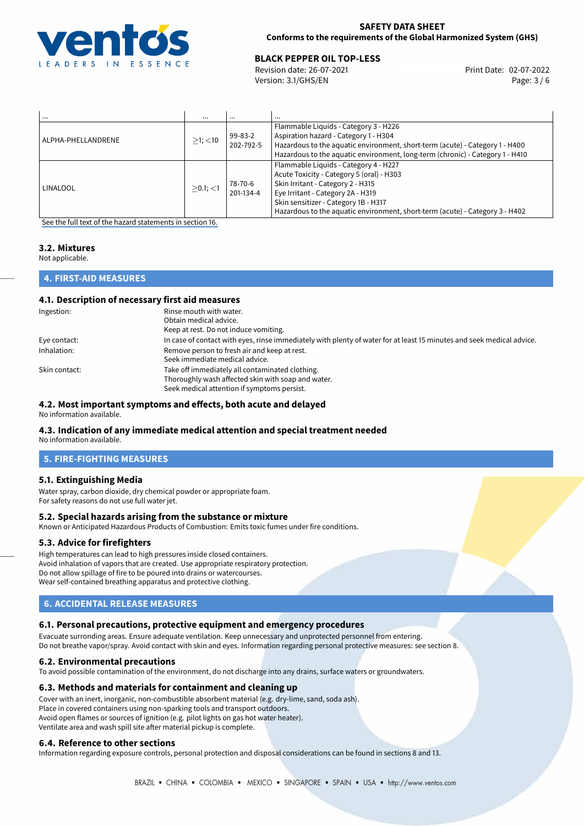

#### **SAFETY DATA SHEET Conforms to the requirements of the Global Harmonized System (GHS)**

# 02-07-2022 **BLACK PEPPER OIL TOP-LESS**

Revision date: 26-07-2021 Version: 3.1/GHS/EN Page: 3 / 6

| $\cdots$           |               |                      | $\cdots$                                                                                                                                                                                                                                                                             |
|--------------------|---------------|----------------------|--------------------------------------------------------------------------------------------------------------------------------------------------------------------------------------------------------------------------------------------------------------------------------------|
| ALPHA-PHELLANDRENE | $>1$ ; $<$ 10 | 99-83-2<br>202-792-5 | Flammable Liquids - Category 3 - H226<br>Aspiration hazard - Category 1 - H304<br>Hazardous to the aquatic environment, short-term (acute) - Category 1 - H400<br>Hazardous to the aquatic environment, long-term (chronic) - Category 1 - H410                                      |
| LINALOOL           | $>0.1$ ; <1   | 78-70-6<br>201-134-4 | Flammable Liquids - Category 4 - H227<br>Acute Toxicity - Category 5 (oral) - H303<br>Skin Irritant - Category 2 - H315<br>Eye Irritant - Category 2A - H319<br>Skin sensitizer - Category 1B - H317<br>Hazardous to the aquatic environment, short-term (acute) - Category 3 - H402 |

[See the full text of the hazard statements in section 16.](#page-5-0)

## **3.2. Mixtures**

Not applicable.

## **4. FIRST-AID MEASURES**

#### **4.1. Description of necessary first aid measures**

| Ingestion:    | Rinse mouth with water.<br>Obtain medical advice.<br>Keep at rest. Do not induce vomiting.                                                           |
|---------------|------------------------------------------------------------------------------------------------------------------------------------------------------|
| Eye contact:  | In case of contact with eyes, rinse immediately with plenty of water for at least 15 minutes and seek medical advice.                                |
| Inhalation:   | Remove person to fresh air and keep at rest.<br>Seek immediate medical advice.                                                                       |
| Skin contact: | Take off immediately all contaminated clothing.<br>Thoroughly wash affected skin with soap and water.<br>Seek medical attention if symptoms persist. |

#### **4.2. Most important symptoms and effects, both acute and delayed**

No information available.

#### **4.3. Indication of any immediate medical attention and special treatment needed**

No information available.

## **5. FIRE-FIGHTING MEASURES**

#### **5.1. Extinguishing Media**

Water spray, carbon dioxide, dry chemical powder or appropriate foam. For safety reasons do not use full water jet.

#### **5.2. Special hazards arising from the substance or mixture**

Known or Anticipated Hazardous Products of Combustion: Emits toxic fumes under fire conditions.

#### **5.3. Advice for firefighters**

High temperatures can lead to high pressures inside closed containers. Avoid inhalation of vapors that are created. Use appropriate respiratory protection. Do not allow spillage of fire to be poured into drains or watercourses. Wear self-contained breathing apparatus and protective clothing.

## **6. ACCIDENTAL RELEASE MEASURES**

#### **6.1. Personal precautions, protective equipment and emergency procedures**

Evacuate surronding areas. Ensure adequate ventilation. Keep unnecessary and unprotected personnel from entering. Do not breathe vapor/spray. Avoid contact with skin and eyes. Information regarding personal protective measures: see section 8.

#### **6.2. Environmental precautions**

To avoid possible contamination of the environment, do not discharge into any drains, surface waters or groundwaters.

## **6.3. Methods and materials for containment and cleaning up**

Cover with an inert, inorganic, non-combustible absorbent material (e.g. dry-lime, sand, soda ash). Place in covered containers using non-sparking tools and transport outdoors. Avoid open flames or sources of ignition (e.g. pilot lights on gas hot water heater). Ventilate area and wash spill site after material pickup is complete.

## **6.4. Reference to other sections**

Information regarding exposure controls, personal protection and disposal considerations can be found in sections 8 and 13.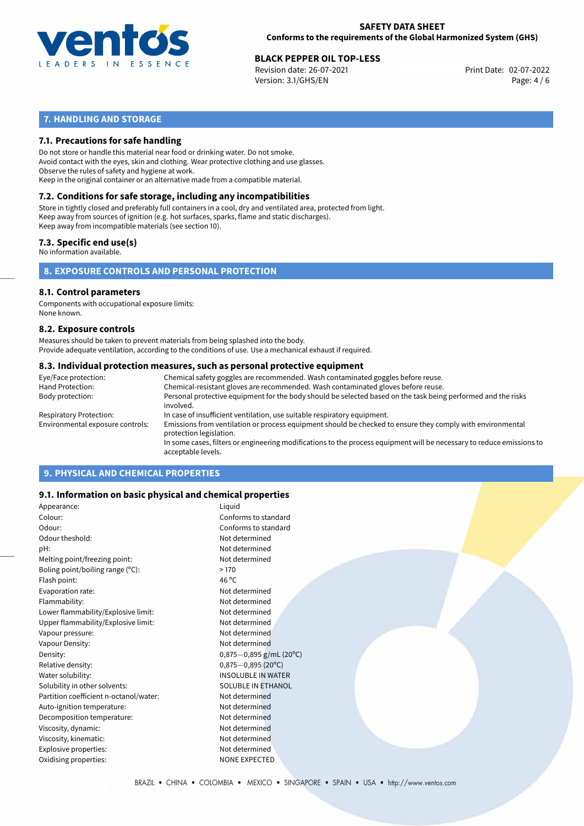

Revision date: 26-07-2021 Version: 3.1/GHS/EN Page: 4 / 6

## **7. HANDLING AND STORAGE**

### **7.1. Precautions for safe handling**

Do not store or handle this material near food or drinking water. Do not smoke. Avoid contact with the eyes, skin and clothing. Wear protective clothing and use glasses. Observe the rules of safety and hygiene at work. Keep in the original container or an alternative made from a compatible material.

## **7.2. Conditions for safe storage, including any incompatibilities**

Store in tightly closed and preferably full containers in a cool, dry and ventilated area, protected from light. Keep away from sources of ignition (e.g. hot surfaces, sparks, flame and static discharges). Keep away from incompatible materials (see section 10).

#### **7.3. Specific end use(s)**

No information available.

**8. EXPOSURE CONTROLS AND PERSONAL PROTECTION**

#### **8.1. Control parameters**

Components with occupational exposure limits: None known.

#### **8.2. Exposure controls**

Measures should be taken to prevent materials from being splashed into the body. Provide adequate ventilation, according to the conditions of use. Use a mechanical exhaust if required.

#### **8.3. Individual protection measures, such as personal protective equipment**

| Eye/Face protection:             | Chemical safety goggles are recommended. Wash contaminated goggles before reuse.                                                            |  |  |
|----------------------------------|---------------------------------------------------------------------------------------------------------------------------------------------|--|--|
| Hand Protection:                 | Chemical-resistant gloves are recommended. Wash contaminated gloves before reuse.                                                           |  |  |
| Body protection:                 | Personal protective equipment for the body should be selected based on the task being performed and the risks<br>involved.                  |  |  |
| Respiratory Protection:          | In case of insufficient ventilation, use suitable respiratory equipment.                                                                    |  |  |
| Environmental exposure controls: | Emissions from ventilation or process equipment should be checked to ensure they comply with environmental<br>protection legislation.       |  |  |
|                                  | In some cases, filters or engineering modifications to the process equipment will be necessary to reduce emissions to<br>acceptable levels. |  |  |
|                                  |                                                                                                                                             |  |  |

## **9. PHYSICAL AND CHEMICAL PROPERTIES**

#### **9.1. Information on basic physical and chemical properties**

| Appearance:                            | Liquid                       |
|----------------------------------------|------------------------------|
| Colour:                                | Conforms to standard         |
| Odour:                                 | Conforms to standard         |
| Odour theshold:                        | Not determined               |
| pH:                                    | Not determined               |
| Melting point/freezing point:          | Not determined               |
| Boling point/boiling range (°C):       | >170                         |
| Flash point:                           | 46 $^{\circ}$ C              |
| Evaporation rate:                      | Not determined               |
| Flammability:                          | Not determined               |
| Lower flammability/Explosive limit:    | Not determined               |
| Upper flammability/Explosive limit:    | Not determined               |
| Vapour pressure:                       | Not determined               |
| Vapour Density:                        | Not determined               |
| Density:                               | $0,875-0,895$ g/mL (20°C)    |
| Relative density:                      | $0,875 - 0,895(20^{\circ}C)$ |
| Water solubility:                      | <b>INSOLUBLE IN WATER</b>    |
| Solubility in other solvents:          | <b>SOLUBLE IN ETHANOL</b>    |
| Partition coefficient n-octanol/water: | Not determined               |
| Auto-ignition temperature:             | Not determined               |
| Decomposition temperature:             | Not determined               |
| Viscosity, dynamic:                    | Not determined               |
| Viscosity, kinematic:                  | Not determined               |
| Explosive properties:                  | Not determined               |
| Oxidising properties:                  | <b>NONE EXPECTED</b>         |
|                                        |                              |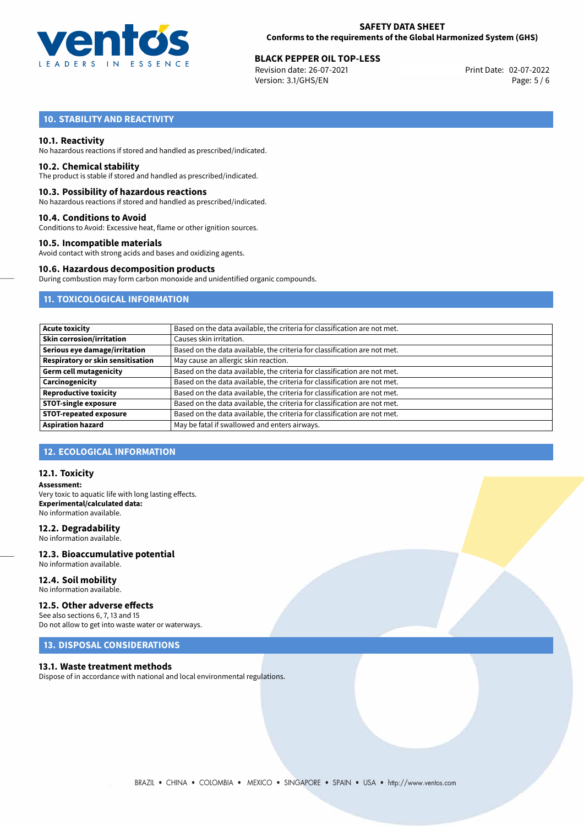

Revision date: 26-07-2021 Version: 3.1/GHS/EN Page: 5 / 6

## **10. STABILITY AND REACTIVITY**

#### **10.1. Reactivity**

No hazardous reactions if stored and handled as prescribed/indicated.

#### **10.2. Chemical stability**

The product is stable if stored and handled as prescribed/indicated.

#### **10.3. Possibility of hazardous reactions**

No hazardous reactions if stored and handled as prescribed/indicated.

#### **10.4. Conditions to Avoid**

Conditions to Avoid: Excessive heat, flame or other ignition sources.

#### **10.5. Incompatible materials**

Avoid contact with strong acids and bases and oxidizing agents.

#### **10.6. Hazardous decomposition products**

During combustion may form carbon monoxide and unidentified organic compounds.

## **11. TOXICOLOGICAL INFORMATION**

| <b>Acute toxicity</b>             | Based on the data available, the criteria for classification are not met. |
|-----------------------------------|---------------------------------------------------------------------------|
| <b>Skin corrosion/irritation</b>  | Causes skin irritation.                                                   |
| Serious eye damage/irritation     | Based on the data available, the criteria for classification are not met. |
| Respiratory or skin sensitisation | May cause an allergic skin reaction.                                      |
| <b>Germ cell mutagenicity</b>     | Based on the data available, the criteria for classification are not met. |
| Carcinogenicity                   | Based on the data available, the criteria for classification are not met. |
| <b>Reproductive toxicity</b>      | Based on the data available, the criteria for classification are not met. |
| <b>STOT-single exposure</b>       | Based on the data available, the criteria for classification are not met. |
| <b>STOT-repeated exposure</b>     | Based on the data available, the criteria for classification are not met. |
| <b>Aspiration hazard</b>          | May be fatal if swallowed and enters airways.                             |

## **12. ECOLOGICAL INFORMATION**

#### **12.1. Toxicity**

**Assessment:** Very toxic to aquatic life with long lasting effects. **Experimental/calculated data:** No information available.

#### **12.2. Degradability**

No information available.

#### **12.3. Bioaccumulative potential** No information available.

**12.4. Soil mobility** No information available.

## **12.5. Other adverse effects**

See also sections 6, 7, 13 and 15 Do not allow to get into waste water or waterways.

## **13. DISPOSAL CONSIDERATIONS**

#### **13.1. Waste treatment methods**

Dispose of in accordance with national and local environmental regulations.